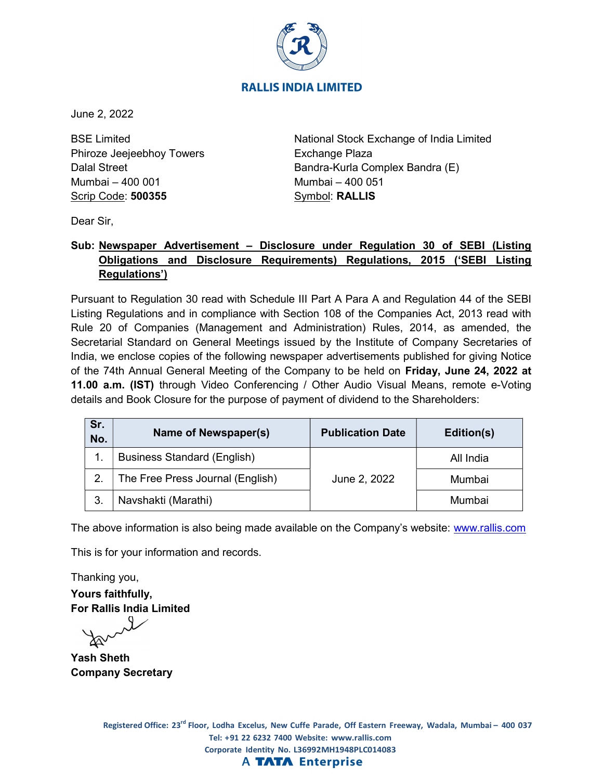

## **RALLIS INDIA LIMITED**

June 2, 2022

BSE Limited Phiroze Jeejeebhoy Towers Dalal Street Mumbai – 400 001 Scrip Code: 500355

National Stock Exchange of India Limited Exchange Plaza Bandra-Kurla Complex Bandra (E) Mumbai – 400 051 Symbol: RALLIS

Dear Sir,

# Sub: Newspaper Advertisement – Disclosure under Regulation 30 of SEBI (Listing Obligations and Disclosure Requirements) Regulations, 2015 ('SEBI Listing Regulations')

Pursuant to Regulation 30 read with Schedule III Part A Para A and Regulation 44 of the SEBI Listing Regulations and in compliance with Section 108 of the Companies Act, 2013 read with Rule 20 of Companies (Management and Administration) Rules, 2014, as amended, the Secretarial Standard on General Meetings issued by the Institute of Company Secretaries of India, we enclose copies of the following newspaper advertisements published for giving Notice of the 74th Annual General Meeting of the Company to be held on Friday, June 24, 2022 at 11.00 a.m. (IST) through Video Conferencing / Other Audio Visual Means, remote e-Voting details and Book Closure for the purpose of payment of dividend to the Shareholders:

| Sr.<br>No. | Name of Newspaper(s)               | <b>Publication Date</b> | Edition(s) |
|------------|------------------------------------|-------------------------|------------|
|            | <b>Business Standard (English)</b> |                         | All India  |
|            | The Free Press Journal (English)   | June 2, 2022            | Mumbai     |
|            | Navshakti (Marathi)                |                         | Mumbai     |

The above information is also being made available on the Company's website: www.rallis.com

This is for your information and records.

Thanking you, Yours faithfully, For Rallis India Limited

Yash Sheth Company Secretary

> Registered Office: 23<sup>rd</sup> Floor, Lodha Excelus, New Cuffe Parade, Off Eastern Freeway, Wadala, Mumbai – 400 037 Tel: +91 22 6232 7400 Website: www.rallis.com Corporate Identity No. L36992MH1948PLC014083 **A TATA Enterprise**